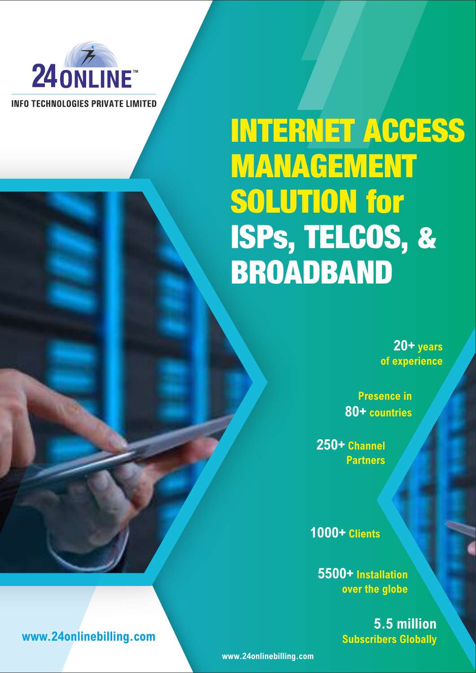

**INFO TECHNOLOGIES PRIVATE LIMITED** 

# INTERNET ACCESS MANAGEMENT SOLUTION for ISPs, TELCOS, & BROADBAND

**20+ years of experience**

**Presence in 80+ countries**

**250+ Channel Partners**

**1000+ Clients**

**5500+ Installation over the globe**

> **5.5 million Subscribers Globally**

**www.24onlinebilling.com**

**www.24onlinebilling.com**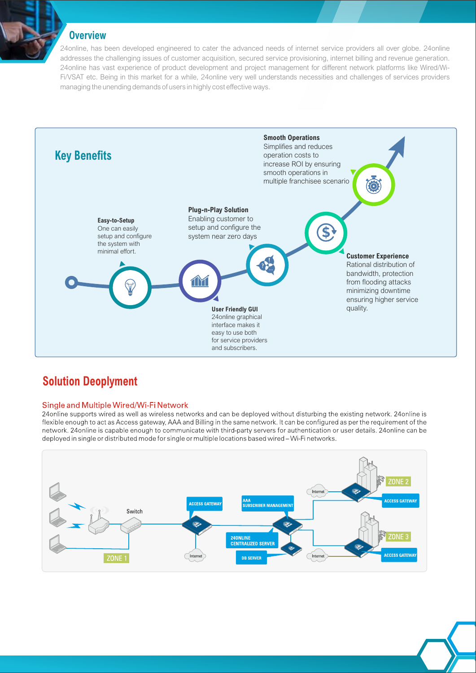## **Overview**

24online, has been developed engineered to cater the advanced needs of internet service providers all over globe. 24online addresses the challenging issues of customer acquisition, secured service provisioning, internet billing and revenue generation. 24online has vast experience of product development and project management for different network platforms like Wired/Wi-Fi/VSAT etc. Being in this market for a while, 24online very well understands necessities and challenges of services providers managing the unending demands of users in highly cost effective ways.



## **Solution Deoplyment**

#### Single and Multiple Wired/Wi-Fi Network

24 online supports wired as well as wireless networks and can be deployed without disturbing the existing network. 24 online is flexible enough to act as Access gateway, AAA and Billing in the same network. It can be configured as per the requirement of the network. 24 online is capable enough to communicate with third-party servers for authentication or user details. 24 online can be deployed in single or distributed mode for single or multiple locations based wired - Wi-Fi networks.

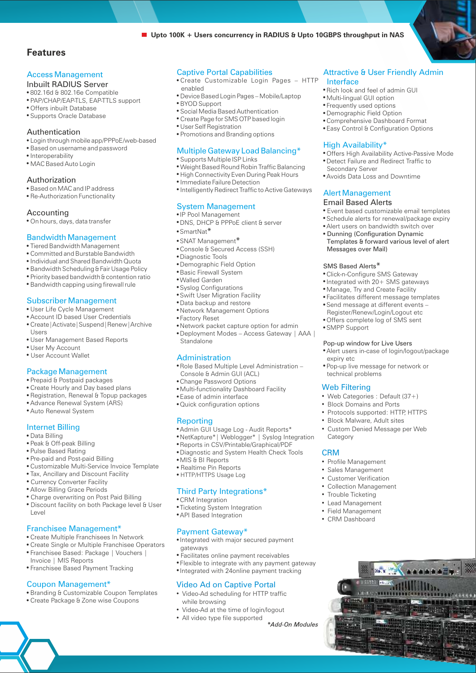### **Features**

#### Access Management

- Inbuilt RADIUS Server
- .802.16d & 802.16e Compatible
- ! PAP/CHAP/EAP-TLS, EAP-TTLS support
- Offers inbuilt Database
- ! Supports Oracle Database

#### Authentication

- ! Login through mobile app/PPPoE/web-based
- ! Based on username and password
- · Interoperability
- · MAC Based Auto Login

#### Authorization

- ! Based on MAC and IP address
- Re-Authorization Functionality

#### Accounting

. On hours, days, data transfer

#### Bandwidth Management

- Tiered Bandwidth Management
- Committed and Burstable Bandwidth
- ! Individual and Shared Bandwidth Quota
- . Bandwidth Scheduling & Fair Usage Policy
- ! Priority based bandwidth & contention ratio
- **.** Bandwidth capping using firewall rule

#### Subscriber Management

- · User Life Cycle Management
- ! Account ID based User Credentials
- ! Create|Activate|Suspend|Renew|Archive Users
- User Management Based Reports
- User My Account
- · User Account Wallet

#### Package Management

- ! Prepaid & Postpaid packages
- Create Hourly and Day based plans
- ! Registration, Renewal & Topup packages
- ! Advance Renewal System (ARS)
- **.** Auto Renewal System

#### Internet Billing

- ! Data Billing
- . Peak & Off-peak Billing
- Pulse Based Rating
- Pre-paid and Post-paid Billing
- ! Customizable Multi-Service Invoice Template
- . Tax, Ancillary and Discount Facility
- · Currency Converter Facility
- **.** Allow Billing Grace Periods
- . Charge overwriting on Post Paid Billing
- · Discount facility on both Package level & User Level

#### Franchisee Management\*

- ! Create Multiple Franchisees In Network
- ! Create Single or Multiple Franchisee Operators ! Franchisee Based: Package | Vouchers |
- Invoice | MIS Reports
- ! Franchisee Based Payment Tracking

#### Coupon Management\*

- ! Branding & Customizable Coupon Templates
- ! Create Package & Zone wise Coupons

#### Captive Portal Capabilities

! Create Customizable Login Pages – HTTP enabled

■ Upto 100K + Users concurrency in RADIUS & Upto 10GBPS throughput in NAS

- ! Device Based Login Pages Mobile/Laptop
- ! BYOD Support
- ! Social Media Based Authentication
- ! Create Page for SMS OTP based login
- · User Self Registration
- ! Promotions and Branding options

#### Multiple Gateway Load Balancing\*

- Supports Multiple ISP Links
- ! Weight Based Round Robin Traffic Balancing
- **.** High Connectivity Even During Peak Hours
- · Immediate Failure Detection
- $\bullet$  Intelligently Redirect Traffic to Active Gateways

#### System Management

- · IP Pool Management
- DNS, DHCP & PPPoE client & server
- SmartNat<sup>\*</sup>
- SNAT Management\*
- ! Console & Secured Access (SSH)
	- · Diagnostic Tools
	- Demographic Field Option
	- **.** Basic Firewall System
	- Walled Garden
	- ! Syslog Configurations
	- Data backup and restore **.** Swift User Migration Facility
	- ! Network Management Options
	- **Factory Reset**
	- ! Network packet capture option for admin
	- ! Deployment Modes Access Gateway | AAA | **Standalone**

#### Administration

! Role Based Multiple Level Administration – Console & Admin GUI (ACL)

Web Filtering

expiry etc

technical problems

• SMPP Support

Category

CRM

• Block Domains and Ports

Email Based Alerts

Messages over Mail)

• Click-n-Configure SMS Gateway • Integrated with 20+ SMS gateways • Manage, Try and Create Facility ! Facilitates different message templates

! Send message at different events – Register/Renew/Login/Logout etc ! Offers complete log of SMS sent

SMS Based Alerts\*

Alert Management

• Frequently used options

· Multi-lingual GUI option

High Availability\*

Secondary Server

· Demographic Field Option

Interface

! Comprehensive Dashboard Format

**.** Easy Control & Configuration Options

! Detect Failure and Redirect Traffic to

! Avoids Data Loss and Downtime

! Offers High Availability Active-Passive Mode

! Event based customizable email templates ! Schedule alerts for renewal/package expiry ! Alert users on bandwidth switch over **• Dunning (Configuration Dynamic** 

Templates & forward various level of alert

! Rich look and feel of admin GUI

Attractive & User Friendly Admin

• Profile Management • Customer Verification • Sales Management

• Field Management • CRM Dashboard

• Lead Management

• Trouble Ticketing • Collection Management

• Custom Denied Message per Web

• Protocols supported: HTTP, HTTPS • Block Malware, Adult sites

! Pop-up live message for network or

Pop-up window for Live Users

! Alert users in-case of login/logout/package

• Web Categories : Default (37+)

- Change Password Options
- . Multi-functionality Dashboard Facility
- **.** Ease of admin interface
- ! Quick configuration options

#### Reporting

gateways

- Admin GUI Usage Log Audit Reports\*
- ! NetKapture\*| Weblogger\* | Syslog Integration
- ! Reports in CSV/Printable/Graphical/PDF
- ! Diagnostic and System Health Check Tools

! Integrated with major secured payment

! Facilitates online payment receivables

Video Ad on Captive Portal • Video-Ad scheduling for HTTP traffic

! Flexible to integrate with any payment gateway

\*Add-On Modules

! Integrated with 24online payment tracking

• MIS & BI Reports

• CRM Integration

· HTTP/HTTPS Usage Log ! Realtime Pin Reports

**.** API Based Integration

Payment Gateway\*

#### Third Party Integrations\*

• Ticketing System Integration

• All video type file supported • Video-Ad at the time of login/logout

while browsing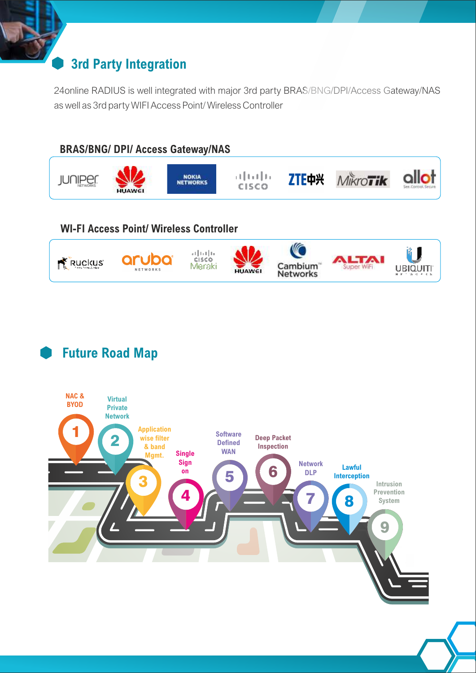# **3rd Party Integration**

24online RADIUS is well integrated with major 3rd party BRAS/BNG/DPI/Access Gateway/NAS as well as 3rd party WIFI Access Point/ Wireless Controller



## **WI-FI Access Point/ Wireless Controller**



# **Future Road Map**

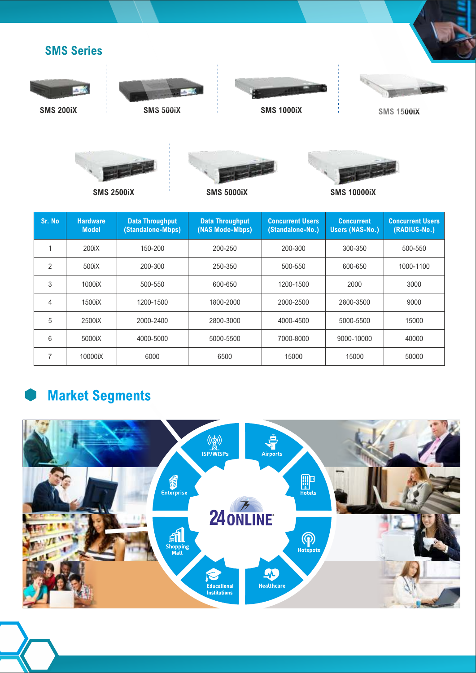





**SMS 200iX**









| Sr. No         | <b>Hardware</b><br><b>Model</b> | <b>Data Throughput</b><br>(Standalone-Mbps) | <b>Data Throughput</b><br>(NAS Mode-Mbps) | <b>Concurrent Users</b><br>(Standalone-No.) | <b>Concurrent</b><br><b>Users (NAS-No.)</b> | <b>Concurrent Users</b><br>(RADIUS-No.) |
|----------------|---------------------------------|---------------------------------------------|-------------------------------------------|---------------------------------------------|---------------------------------------------|-----------------------------------------|
|                | 200iX                           | 150-200                                     | 200-250                                   | 200-300                                     | 300-350                                     | 500-550                                 |
| $\mathfrak{p}$ | 500iX                           | 200-300                                     | 250-350                                   | 500-550                                     | 600-650                                     | 1000-1100                               |
| 3              | 1000iX                          | 500-550                                     | 600-650                                   | 1200-1500                                   | 2000                                        | 3000                                    |
| 4              | 1500iX                          | 1200-1500                                   | 1800-2000                                 | 2000-2500                                   | 2800-3500                                   | 9000                                    |
| 5              | 2500iX                          | 2000-2400                                   | 2800-3000                                 | 4000-4500                                   | 5000-5500                                   | 15000                                   |
| 6              | 5000iX                          | 4000-5000                                   | 5000-5500                                 | 7000-8000                                   | 9000-10000                                  | 40000                                   |
| $\overline{7}$ | 10000iX                         | 6000                                        | 6500                                      | 15000                                       | 15000                                       | 50000                                   |

# **Market Segments**